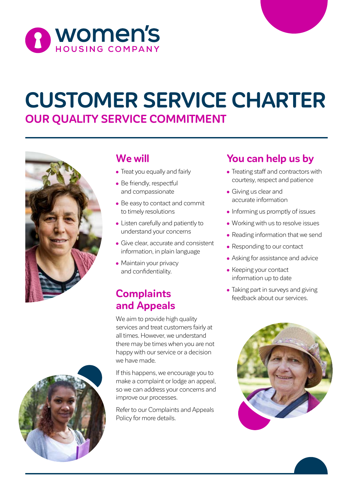

# **CUSTOMER SERVICE CHARTER OUR QUALITY SERVICE COMMITMENT**



### **We will**

- Treat you equally and fairly
- Be friendly, respectful and compassionate
- Be easy to contact and commit to timely resolutions
- Listen carefully and patiently to understand your concerns
- Give clear, accurate and consistent information, in plain language
- Maintain your privacy and confidentiality.

### **Complaints and Appeals**

We aim to provide high quality services and treat customers fairly at all times. However, we understand there may be times when you are not happy with our service or a decision we have made.

If this happens, we encourage you to make a complaint or lodge an appeal, so we can address your concerns and improve our processes.

Refer to our Complaints and Appeals Policy for more details.

## **You can help us by**

- Treating staff and contractors with courtesy, respect and patience
- Giving us clear and accurate information
- Informing us promptly of issues
- Working with us to resolve issues
- Reading information that we send
- Responding to our contact
- Asking for assistance and advice
- Keeping your contact information up to date
- Taking part in surveys and giving feedback about our services.